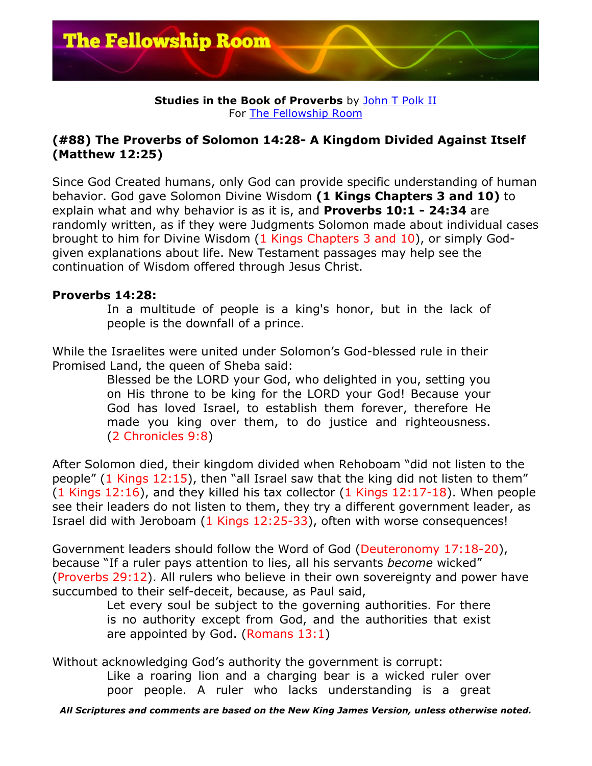

## **Studies in the Book of Proverbs** by John T Polk II For The Fellowship Room

## **(#88) The Proverbs of Solomon 14:28- A Kingdom Divided Against Itself (Matthew 12:25)**

Since God Created humans, only God can provide specific understanding of human behavior. God gave Solomon Divine Wisdom **(1 Kings Chapters 3 and 10)** to explain what and why behavior is as it is, and **Proverbs 10:1 - 24:34** are randomly written, as if they were Judgments Solomon made about individual cases brought to him for Divine Wisdom (1 Kings Chapters 3 and 10), or simply Godgiven explanations about life. New Testament passages may help see the continuation of Wisdom offered through Jesus Christ.

## **Proverbs 14:28:**

In a multitude of people is a king's honor, but in the lack of people is the downfall of a prince.

While the Israelites were united under Solomon's God-blessed rule in their Promised Land, the queen of Sheba said:

Blessed be the LORD your God, who delighted in you, setting you on His throne to be king for the LORD your God! Because your God has loved Israel, to establish them forever, therefore He made you king over them, to do justice and righteousness. (2 Chronicles 9:8)

After Solomon died, their kingdom divided when Rehoboam "did not listen to the people" (1 Kings 12:15), then "all Israel saw that the king did not listen to them" (1 Kings 12:16), and they killed his tax collector (1 Kings 12:17-18). When people see their leaders do not listen to them, they try a different government leader, as Israel did with Jeroboam (1 Kings 12:25-33), often with worse consequences!

Government leaders should follow the Word of God (Deuteronomy 17:18-20), because "If a ruler pays attention to lies, all his servants *become* wicked" (Proverbs 29:12). All rulers who believe in their own sovereignty and power have succumbed to their self-deceit, because, as Paul said,

> Let every soul be subject to the governing authorities. For there is no authority except from God, and the authorities that exist are appointed by God. (Romans 13:1)

Without acknowledging God's authority the government is corrupt:

Like a roaring lion and a charging bear is a wicked ruler over poor people. A ruler who lacks understanding is a great

*All Scriptures and comments are based on the New King James Version, unless otherwise noted.*